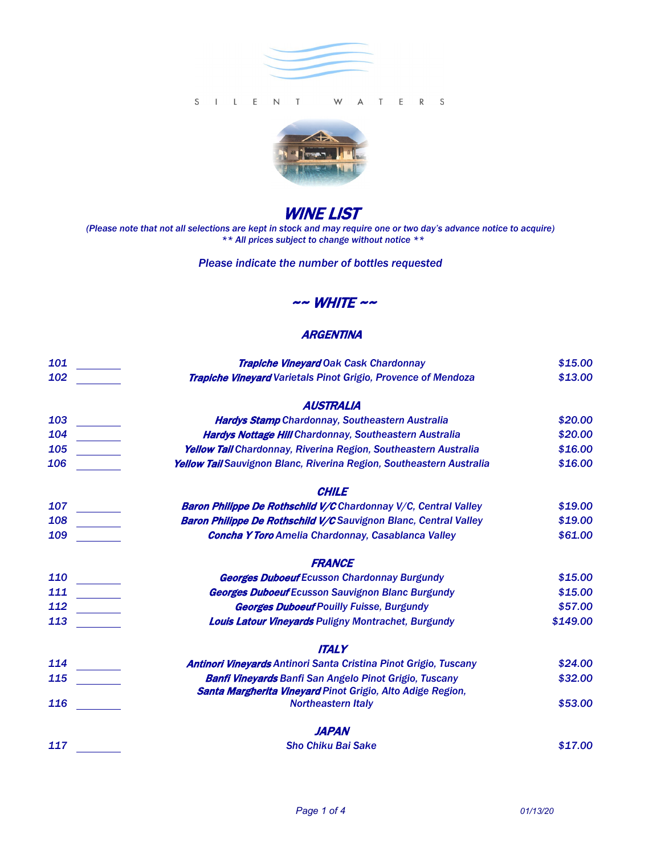

#### S I L E N T T E R S W A



# WINE LIST

*(Please note that not all selections are kept in stock and may require one or two day's advance notice to acquire) \*\* All prices subject to change without notice \*\**

#### *Please indicate the number of bottles requested*

## $\sim$  WHITE  $\sim$

### **ARGENTINA**

| 101 | <b>Trapiche Vineyard Oak Cask Chardonnay</b>                            | \$15.00  |
|-----|-------------------------------------------------------------------------|----------|
| 102 | <b>Trapiche Vineyard Varietals Pinot Grigio, Provence of Mendoza</b>    | \$13.00  |
|     | <b>AUSTRALIA</b>                                                        |          |
| 103 | Hardys Stamp Chardonnay, Southeastern Australia                         | \$20.00  |
| 104 | <b>Hardys Nottage Hill Chardonnay, Southeastern Australia</b>           | \$20.00  |
| 105 | Yellow Tail Chardonnay, Riverina Region, Southeastern Australia         | \$16.00  |
| 106 | Yellow Tall Sauvignon Blanc, Riverina Region, Southeastern Australia    | \$16.00  |
|     | <b>CHILE</b>                                                            |          |
| 107 | <b>Baron Philippe De Rothschild V/C</b> Chardonnay V/C, Central Valley  | \$19.00  |
| 108 | <b>Baron Philippe De Rothschild V/C</b> Sauvignon Blanc, Central Valley | \$19.00  |
| 109 | <b>Concha Y Toro Amelia Chardonnay, Casablanca Valley</b>               | \$61.00  |
|     | <b>FRANCE</b>                                                           |          |
| 110 | <b>Georges Duboeuf Ecusson Chardonnay Burgundy</b>                      | \$15.00  |
| 111 | <b>Georges Duboeuf Ecusson Sauvignon Blanc Burgundy</b>                 | \$15.00  |
| 112 | <b>Georges Duboeuf Pouilly Fuisse, Burgundy</b>                         | \$57.00  |
| 113 | <b>Louis Latour Vineyards Puligny Montrachet, Burgundy</b>              | \$149.00 |
|     | <b>ITALY</b>                                                            |          |
| 114 | <b>Antinori Vineyards Antinori Santa Cristina Pinot Grigio, Tuscany</b> | \$24.00  |
| 115 | <b>Banfi Vineyards Banfi San Angelo Pinot Grigio, Tuscany</b>           | \$32.00  |
|     | Santa Margherita Vineyard Pinot Grigio, Alto Adige Region,              |          |
| 116 | <b>Northeastern Italy</b>                                               | \$53.00  |
|     | <b>JAPAN</b>                                                            |          |
| 117 | <b>Sho Chiku Bai Sake</b>                                               | \$17.00  |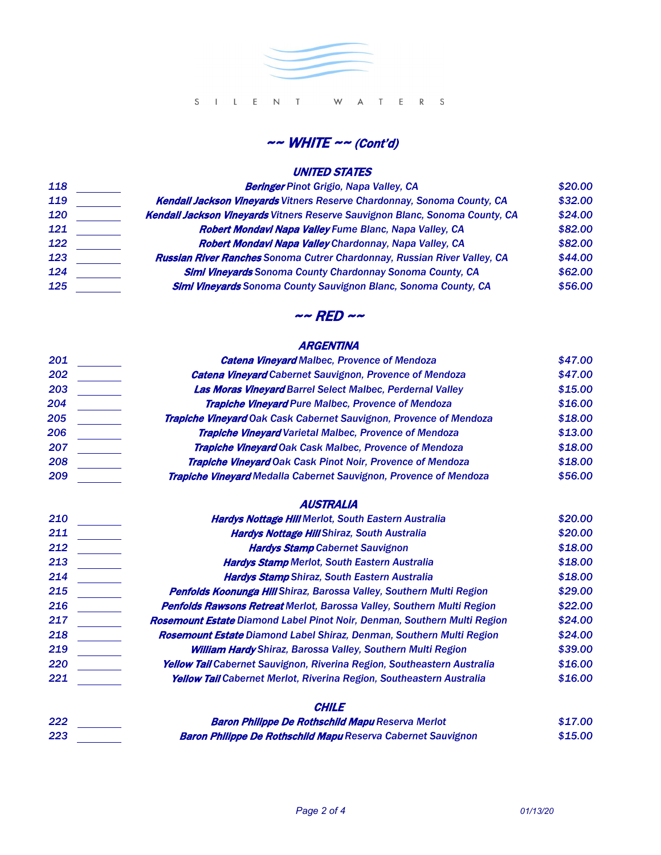

## $\sim$  WHITE  $\sim$  (Cont'd)

## UNITED STATES

| <b>Beringer</b> Pinot Grigio, Napa Valley, CA                                       | \$20.00 |
|-------------------------------------------------------------------------------------|---------|
| <b>Kendall Jackson Vineyards Vitners Reserve Chardonnay, Sonoma County, CA</b>      | \$32.00 |
| <b>Kendall Jackson Vineyards Vitners Reserve Sauvignon Blanc, Sonoma County, CA</b> | \$24.00 |
| <b>Robert Mondavi Napa Valley Fume Blanc, Napa Valley, CA</b>                       | \$82.00 |
| Robert Mondavi Napa Valley Chardonnay, Napa Valley, CA                              | \$82.00 |
| <b>Russian River Ranches Sonoma Cutrer Chardonnay, Russian River Valley, CA</b>     | \$44.00 |
| <b>Simi Vineyards Sonoma County Chardonnay Sonoma County, CA</b>                    | \$62.00 |
| <b>Simi Vineyards Sonoma County Sauvignon Blanc, Sonoma County, CA</b>              | \$56.00 |
|                                                                                     |         |

## $\sim$  RED  $\sim$

## **ARGENTINA**

| 201 | <b>Catena Vineyard Malbec, Provence of Mendoza</b>                          | \$47.00 |
|-----|-----------------------------------------------------------------------------|---------|
| 202 | <b>Catena Vineyard Cabernet Sauvignon, Provence of Mendoza</b>              | \$47.00 |
| 203 | <b>Las Moras Vineyard Barrel Select Malbec, Perdernal Valley</b>            | \$15.00 |
| 204 | <b>Trapiche Vineyard Pure Malbec, Provence of Mendoza</b>                   | \$16.00 |
| 205 | <b>Trapiche Vineyard Oak Cask Cabernet Sauvignon, Provence of Mendoza</b>   | \$18.00 |
| 206 | <b>Trapiche Vineyard Varietal Malbec, Provence of Mendoza</b>               | \$13.00 |
| 207 | <b>Trapiche Vineyard Oak Cask Malbec, Provence of Mendoza</b>               | \$18.00 |
| 208 | Trapiche Vineyard Oak Cask Pinot Noir, Provence of Mendoza                  | \$18.00 |
| 209 | <b>Trapiche Vineyard Medalla Cabernet Sauvignon, Provence of Mendoza</b>    | \$56.00 |
|     | <b>AUSTRALIA</b>                                                            |         |
| 210 | <b>Hardys Nottage Hill Merlot, South Eastern Australia</b>                  | \$20.00 |
| 211 | <b>Hardys Nottage Hill Shiraz, South Australia</b>                          | \$20.00 |
| 212 | <b>Hardys Stamp Cabernet Sauvignon</b>                                      | \$18.00 |
| 213 | <b>Hardys Stamp Merlot, South Eastern Australia</b>                         | \$18.00 |
| 214 | <b>Hardys Stamp Shiraz, South Eastern Australia</b>                         | \$18.00 |
| 215 | <b>Penfolds Koonunga Hill Shiraz, Barossa Valley, Southern Multi Region</b> | \$29.00 |
| 216 | Penfolds Rawsons Retreat Merlot, Barossa Valley, Southern Multi Region      | \$22.00 |
| 217 | Rosemount Estate Diamond Label Pinot Noir, Denman, Southern Multi Region    | \$24.00 |
| 218 | Rosemount Estate Diamond Label Shiraz, Denman, Southern Multi Region        | \$24.00 |
| 219 | <b>William Hardy Shiraz, Barossa Valley, Southern Multi Region</b>          | \$39.00 |
| 220 | Yellow Tall Cabernet Sauvignon, Riverina Region, Southeastern Australia     | \$16.00 |
| 221 | Yellow Tall Cabernet Merlot, Riverina Region, Southeastern Australia        | \$16.00 |
|     | <b>CHILE</b>                                                                |         |
| 222 | <b>Baron Philippe De Rothschild Mapu Reserva Merlot</b>                     | \$17.00 |
| 223 | <b>Baron Philippe De Rothschild Mapu Reserva Cabernet Sauvignon</b>         | \$15.00 |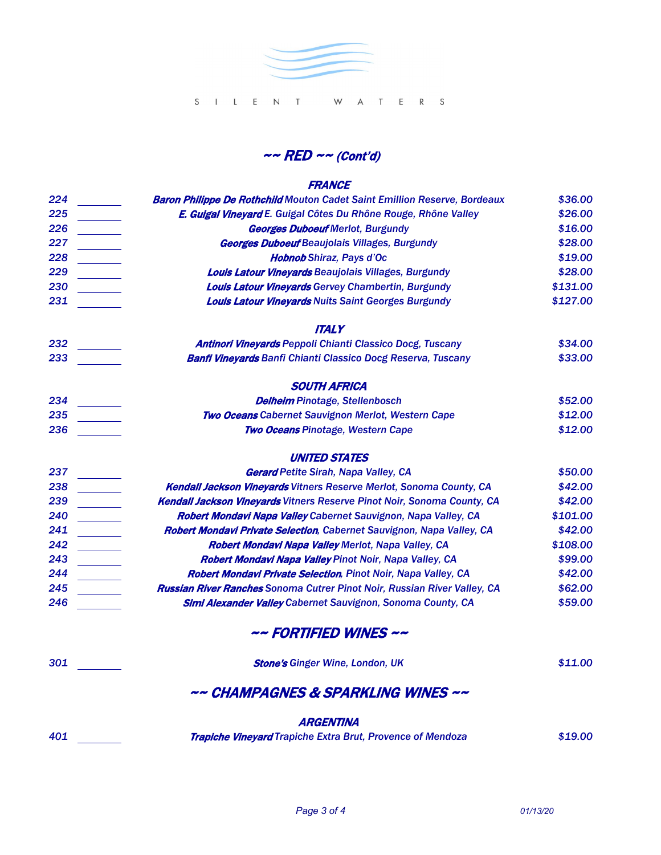

 $\sim$  RED  $\sim$  (Cont'd)

#### **FRANCE**

| 224 | <b>Baron Philippe De Rothchild Mouton Cadet Saint Emillion Reserve, Bordeaux</b> | \$36.00  |
|-----|----------------------------------------------------------------------------------|----------|
| 225 | E. Guigal Vineyard E. Guigal Côtes Du Rhône Rouge, Rhône Valley                  | \$26.00  |
| 226 | <b>Georges Duboeuf Merlot, Burgundy</b>                                          | \$16.00  |
| 227 | <b>Georges Duboeuf Beaujolais Villages, Burgundy</b>                             | \$28.00  |
| 228 | <b>Hobnob Shiraz, Pays d'Oc</b>                                                  | \$19.00  |
| 229 | <b>Louis Latour Vineyards Beaujolais Villages, Burgundy</b>                      | \$28.00  |
| 230 | <b>Louis Latour Vineyards Gervey Chambertin, Burgundy</b>                        | \$131.00 |
| 231 | <b>Louis Latour Vineyards Nuits Saint Georges Burgundy</b>                       | \$127.00 |
|     | <b>ITALY</b>                                                                     |          |
| 232 | <b>Antinori Vineyards Peppoli Chianti Classico Docg, Tuscany</b>                 | \$34.00  |
| 233 | <b>Banfi Vineyards Banfi Chianti Classico Docg Reserva, Tuscany</b>              | \$33.00  |
|     | <b>SOUTH AFRICA</b>                                                              |          |
| 234 | <b>Delheim Pinotage, Stellenbosch</b>                                            | \$52.00  |
| 235 | <b>Two Oceans Cabernet Sauvignon Merlot, Western Cape</b>                        | \$12.00  |
| 236 | <b>Two Oceans Pinotage, Western Cape</b>                                         | \$12.00  |
|     | <b>UNITED STATES</b>                                                             |          |
| 237 | <b>Gerard Petite Sirah, Napa Valley, CA</b>                                      | \$50.00  |
| 238 | <b>Kendall Jackson Vineyards Vitners Reserve Merlot, Sonoma County, CA</b>       | \$42.00  |
| 239 | <b>Kendall Jackson Vineyards Vitners Reserve Pinot Noir, Sonoma County, CA</b>   | \$42.00  |
| 240 | Robert Mondavi Napa Valley Cabernet Sauvignon, Napa Valley, CA                   | \$101.00 |
| 241 | Robert Mondavi Private Selection, Cabernet Sauvignon, Napa Valley, CA            | \$42.00  |
| 242 | Robert Mondavi Napa Valley Merlot, Napa Valley, CA                               | \$108.00 |
| 243 | Robert Mondavi Napa Valley Pinot Noir, Napa Valley, CA                           | \$99.00  |
| 244 | Robert Mondavi Private Selection, Pinot Noir, Napa Valley, CA                    | \$42.00  |
| 245 | <b>Russian River Ranches Sonoma Cutrer Pinot Noir, Russian River Valley, CA</b>  | \$62.00  |
| 246 | <b>Simi Alexander Valley Cabernet Sauvignon, Sonoma County, CA</b>               | \$59.00  |
|     | ~~ FORTIFIED WINES ~~                                                            |          |
| 301 | <b>Stone's Ginger Wine, London, UK</b>                                           | \$11.00  |

# ~~ CHAMPAGNES & SPARKLING WINES ~~

**ARGENTINA** 

Trapiche Vineyard *Trapiche Extra Brut, Provence of Mendoza \$19.00*